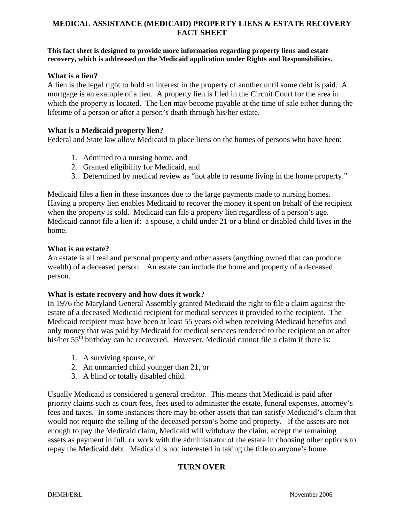# **MEDICAL ASSISTANCE (MEDICAID) PROPERTY LIENS & ESTATE RECOVERY FACT SHEET**

#### **This fact sheet is designed to provide more information regarding property liens and estate recovery, which is addressed on the Medicaid application under Rights and Responsibilities.**

## **What is a lien?**

A lien is the legal right to hold an interest in the property of another until some debt is paid. A mortgage is an example of a lien. A property lien is filed in the Circuit Court for the area in which the property is located. The lien may become payable at the time of sale either during the lifetime of a person or after a person's death through his/her estate.

## **What is a Medicaid property lien?**

Federal and State law allow Medicaid to place liens on the homes of persons who have been:

- 1. Admitted to a nursing home, and
- 2. Granted eligibility for Medicaid, and
- 3. Determined by medical review as "not able to resume living in the home property."

Medicaid files a lien in these instances due to the large payments made to nursing homes. Having a property lien enables Medicaid to recover the money it spent on behalf of the recipient when the property is sold. Medicaid can file a property lien regardless of a person's age. Medicaid cannot file a lien if: a spouse, a child under 21 or a blind or disabled child lives in the home.

### **What is an estate?**

An estate is all real and personal property and other assets (anything owned that can produce wealth) of a deceased person. An estate can include the home and property of a deceased person.

### **What is estate recovery and how does it work?**

In 1976 the Maryland General Assembly granted Medicaid the right to file a claim against the estate of a deceased Medicaid recipient for medical services it provided to the recipient. The Medicaid recipient must have been at least 55 years old when receiving Medicaid benefits and only money that was paid by Medicaid for medical services rendered to the recipient on or after his/her 55<sup>th</sup> birthday can be recovered. However, Medicaid cannot file a claim if there is:

- 1. A surviving spouse, or
- 2. An unmarried child younger than 21, or
- 3. A blind or totally disabled child.

Usually Medicaid is considered a general creditor. This means that Medicaid is paid after priority claims such as court fees, fees used to administer the estate, funeral expenses, attorney's fees and taxes. In some instances there may be other assets that can satisfy Medicaid's claim that would not require the selling of the deceased person's home and property. If the assets are not enough to pay the Medicaid claim, Medicaid will withdraw the claim, accept the remaining assets as payment in full, or work with the administrator of the estate in choosing other options to repay the Medicaid debt. Medicaid is not interested in taking the title to anyone's home.

## **TURN OVER**